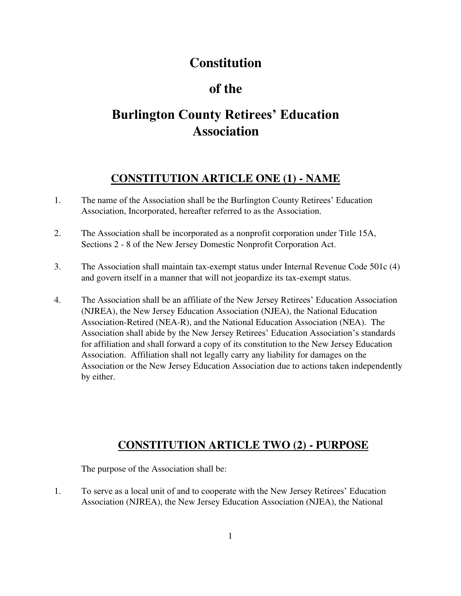# **Constitution**

# **of the**

# **Burlington County Retirees' Education Association**

## **CONSTITUTION ARTICLE ONE (1) - NAME**

- 1. The name of the Association shall be the Burlington County Retirees' Education Association, Incorporated, hereafter referred to as the Association.
- 2. The Association shall be incorporated as a nonprofit corporation under Title 15A, Sections 2 - 8 of the New Jersey Domestic Nonprofit Corporation Act.
- 3. The Association shall maintain tax-exempt status under Internal Revenue Code 501c (4) and govern itself in a manner that will not jeopardize its tax-exempt status.
- 4. The Association shall be an affiliate of the New Jersey Retirees' Education Association (NJREA), the New Jersey Education Association (NJEA), the National Education Association-Retired (NEA-R), and the National Education Association (NEA). The Association shall abide by the New Jersey Retirees' Education Association's standards for affiliation and shall forward a copy of its constitution to the New Jersey Education Association. Affiliation shall not legally carry any liability for damages on the Association or the New Jersey Education Association due to actions taken independently by either.

## **CONSTITUTION ARTICLE TWO (2) - PURPOSE**

The purpose of the Association shall be:

1. To serve as a local unit of and to cooperate with the New Jersey Retirees' Education Association (NJREA), the New Jersey Education Association (NJEA), the National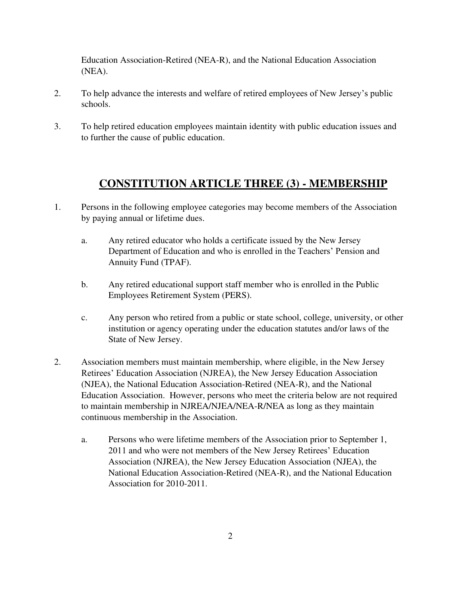Education Association-Retired (NEA-R), and the National Education Association (NEA).

- 2. To help advance the interests and welfare of retired employees of New Jersey's public schools.
- 3. To help retired education employees maintain identity with public education issues and to further the cause of public education.

#### **CONSTITUTION ARTICLE THREE (3) - MEMBERSHIP**

- 1. Persons in the following employee categories may become members of the Association by paying annual or lifetime dues.
	- a. Any retired educator who holds a certificate issued by the New Jersey Department of Education and who is enrolled in the Teachers' Pension and Annuity Fund (TPAF).
	- b. Any retired educational support staff member who is enrolled in the Public Employees Retirement System (PERS).
	- c. Any person who retired from a public or state school, college, university, or other institution or agency operating under the education statutes and/or laws of the State of New Jersey.
- 2. Association members must maintain membership, where eligible, in the New Jersey Retirees' Education Association (NJREA), the New Jersey Education Association (NJEA), the National Education Association-Retired (NEA-R), and the National Education Association. However, persons who meet the criteria below are not required to maintain membership in NJREA/NJEA/NEA-R/NEA as long as they maintain continuous membership in the Association.
	- a. Persons who were lifetime members of the Association prior to September 1, 2011 and who were not members of the New Jersey Retirees' Education Association (NJREA), the New Jersey Education Association (NJEA), the National Education Association-Retired (NEA-R), and the National Education Association for 2010-2011.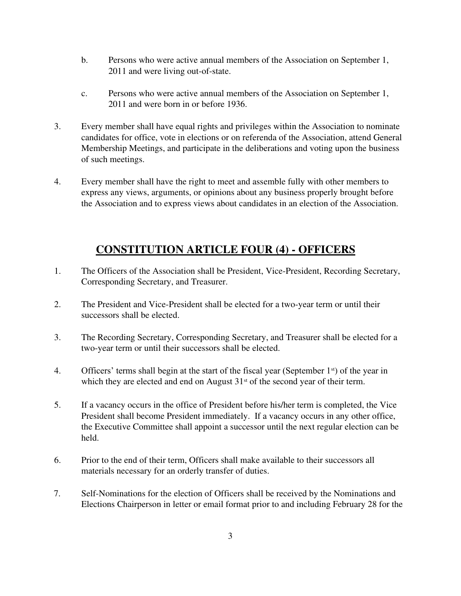- b. Persons who were active annual members of the Association on September 1, 2011 and were living out-of-state.
- c. Persons who were active annual members of the Association on September 1, 2011 and were born in or before 1936.
- 3. Every member shall have equal rights and privileges within the Association to nominate candidates for office, vote in elections or on referenda of the Association, attend General Membership Meetings, and participate in the deliberations and voting upon the business of such meetings.
- 4. Every member shall have the right to meet and assemble fully with other members to express any views, arguments, or opinions about any business properly brought before the Association and to express views about candidates in an election of the Association.

## **CONSTITUTION ARTICLE FOUR (4) - OFFICERS**

- 1. The Officers of the Association shall be President, Vice-President, Recording Secretary, Corresponding Secretary, and Treasurer.
- 2. The President and Vice-President shall be elected for a two-year term or until their successors shall be elected.
- 3. The Recording Secretary, Corresponding Secretary, and Treasurer shall be elected for a two-year term or until their successors shall be elected.
- 4. Officers' terms shall begin at the start of the fiscal year (September  $1<sup>st</sup>$ ) of the year in which they are elected and end on August  $31<sup>st</sup>$  of the second year of their term.
- 5. If a vacancy occurs in the office of President before his/her term is completed, the Vice President shall become President immediately. If a vacancy occurs in any other office, the Executive Committee shall appoint a successor until the next regular election can be held.
- 6. Prior to the end of their term, Officers shall make available to their successors all materials necessary for an orderly transfer of duties.
- 7. Self-Nominations for the election of Officers shall be received by the Nominations and Elections Chairperson in letter or email format prior to and including February 28 for the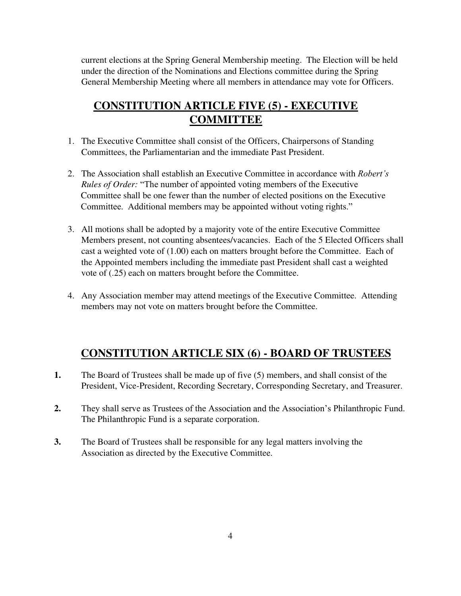current elections at the Spring General Membership meeting. The Election will be held under the direction of the Nominations and Elections committee during the Spring General Membership Meeting where all members in attendance may vote for Officers.

#### **CONSTITUTION ARTICLE FIVE (5) - EXECUTIVE COMMITTEE**

- 1. The Executive Committee shall consist of the Officers, Chairpersons of Standing Committees, the Parliamentarian and the immediate Past President.
- 2. The Association shall establish an Executive Committee in accordance with *Robert's Rules of Order:* "The number of appointed voting members of the Executive Committee shall be one fewer than the number of elected positions on the Executive Committee. Additional members may be appointed without voting rights."
- 3. All motions shall be adopted by a majority vote of the entire Executive Committee Members present, not counting absentees/vacancies. Each of the 5 Elected Officers shall cast a weighted vote of (1.00) each on matters brought before the Committee. Each of the Appointed members including the immediate past President shall cast a weighted vote of (.25) each on matters brought before the Committee.
- 4. Any Association member may attend meetings of the Executive Committee. Attending members may not vote on matters brought before the Committee.

#### **CONSTITUTION ARTICLE SIX (6) - BOARD OF TRUSTEES**

- **1.** The Board of Trustees shall be made up of five (5) members, and shall consist of the President, Vice-President, Recording Secretary, Corresponding Secretary, and Treasurer.
- **2.** They shall serve as Trustees of the Association and the Association's Philanthropic Fund. The Philanthropic Fund is a separate corporation.
- **3.** The Board of Trustees shall be responsible for any legal matters involving the Association as directed by the Executive Committee.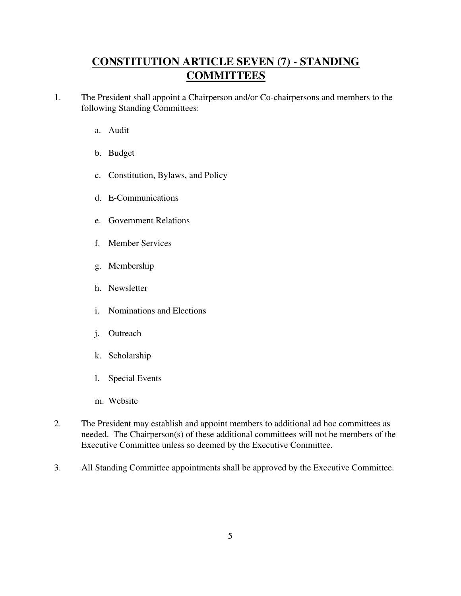## **CONSTITUTION ARTICLE SEVEN (7) - STANDING COMMITTEES**

- 1. The President shall appoint a Chairperson and/or Co-chairpersons and members to the following Standing Committees:
	- a. Audit
	- b. Budget
	- c. Constitution, Bylaws, and Policy
	- d. E-Communications
	- e. Government Relations
	- f. Member Services
	- g. Membership
	- h. Newsletter
	- i. Nominations and Elections
	- j. Outreach
	- k. Scholarship
	- l. Special Events
	- m. Website
- 2. The President may establish and appoint members to additional ad hoc committees as needed. The Chairperson(s) of these additional committees will not be members of the Executive Committee unless so deemed by the Executive Committee.
- 3. All Standing Committee appointments shall be approved by the Executive Committee.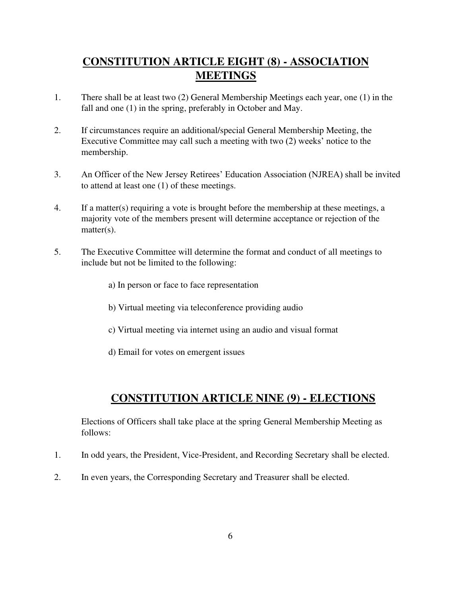## **CONSTITUTION ARTICLE EIGHT (8) - ASSOCIATION MEETINGS**

- 1. There shall be at least two (2) General Membership Meetings each year, one (1) in the fall and one (1) in the spring, preferably in October and May.
- 2. If circumstances require an additional/special General Membership Meeting, the Executive Committee may call such a meeting with two (2) weeks' notice to the membership.
- 3. An Officer of the New Jersey Retirees' Education Association (NJREA) shall be invited to attend at least one (1) of these meetings.
- 4. If a matter(s) requiring a vote is brought before the membership at these meetings, a majority vote of the members present will determine acceptance or rejection of the matter(s).
- 5. The Executive Committee will determine the format and conduct of all meetings to include but not be limited to the following:
	- a) In person or face to face representation
	- b) Virtual meeting via teleconference providing audio
	- c) Virtual meeting via internet using an audio and visual format
	- d) Email for votes on emergent issues

## **CONSTITUTION ARTICLE NINE (9) - ELECTIONS**

Elections of Officers shall take place at the spring General Membership Meeting as follows:

- 1. In odd years, the President, Vice-President, and Recording Secretary shall be elected.
- 2. In even years, the Corresponding Secretary and Treasurer shall be elected.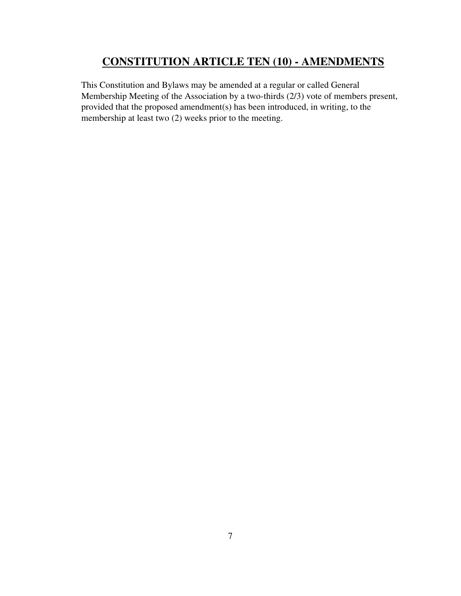#### **CONSTITUTION ARTICLE TEN (10) - AMENDMENTS**

This Constitution and Bylaws may be amended at a regular or called General Membership Meeting of the Association by a two-thirds (2/3) vote of members present, provided that the proposed amendment(s) has been introduced, in writing, to the membership at least two (2) weeks prior to the meeting.